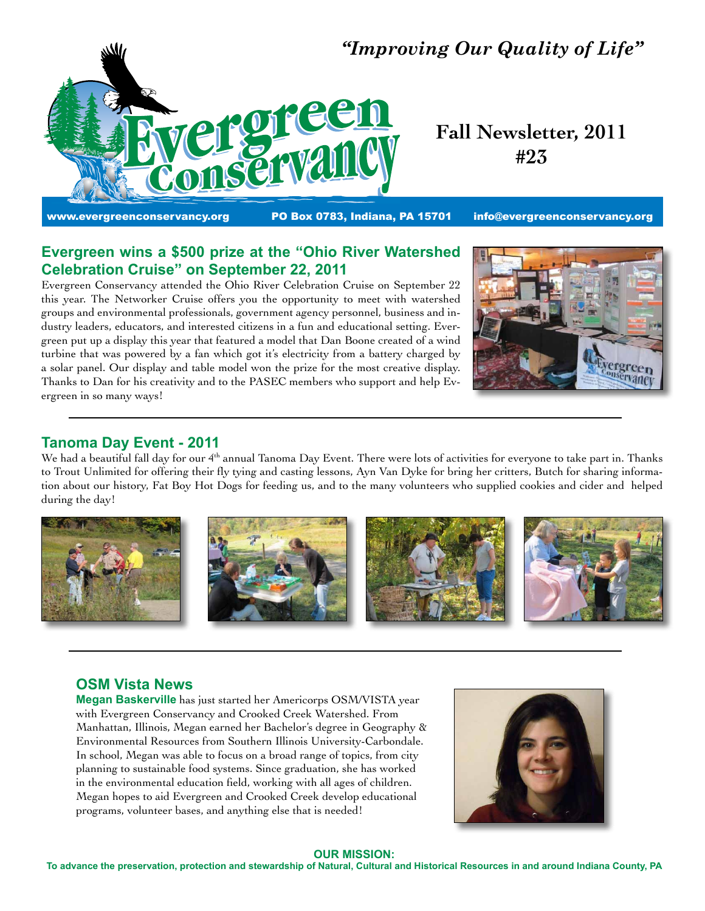

# *"Improving Our Quality of Life"*

**Fall Newsletter, 2011 #23**

www.evergreenconservancy.org **PO Box 0783, Indiana, PA 15701** info@evergreenconservancy.org

# **Evergreen wins a \$500 prize at the "Ohio River Watershed Celebration Cruise" on September 22, 2011**

Evergreen Conservancy attended the Ohio River Celebration Cruise on September 22 this year. The Networker Cruise offers you the opportunity to meet with watershed groups and environmental professionals, government agency personnel, business and industry leaders, educators, and interested citizens in a fun and educational setting. Evergreen put up a display this year that featured a model that Dan Boone created of a wind turbine that was powered by a fan which got it's electricity from a battery charged by a solar panel. Our display and table model won the prize for the most creative display. Thanks to Dan for his creativity and to the PASEC members who support and help Evergreen in so many ways!



# **Tanoma Day Event - 2011**

We had a beautiful fall day for our 4<sup>th</sup> annual Tanoma Day Event. There were lots of activities for everyone to take part in. Thanks to Trout Unlimited for offering their fly tying and casting lessons, Ayn Van Dyke for bring her critters, Butch for sharing information about our history, Fat Boy Hot Dogs for feeding us, and to the many volunteers who supplied cookies and cider and helped during the day!



# **OSM Vista News**

**Megan Baskerville** has just started her Americorps OSM/VISTA year with Evergreen Conservancy and Crooked Creek Watershed. From Manhattan, Illinois, Megan earned her Bachelor's degree in Geography & Environmental Resources from Southern Illinois University-Carbondale. In school, Megan was able to focus on a broad range of topics, from city planning to sustainable food systems. Since graduation, she has worked in the environmental education field, working with all ages of children. Megan hopes to aid Evergreen and Crooked Creek develop educational programs, volunteer bases, and anything else that is needed!



#### **OUR MISSION:**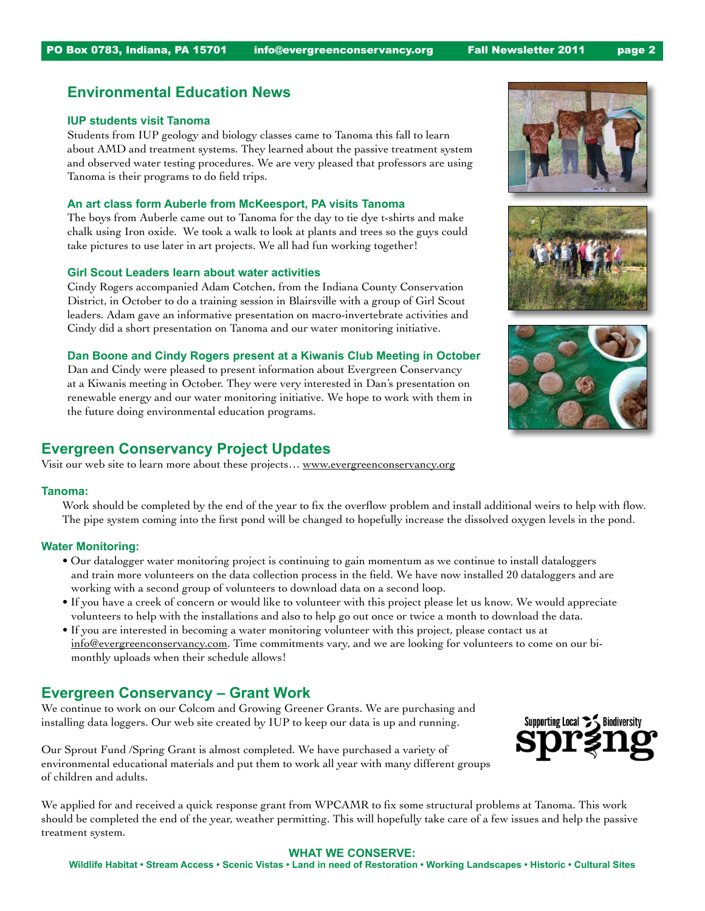# **Environmental Education News**

#### **IUP students visit Tanoma**

Students from IUP geology and biology classes came to Tanoma this fall to learn about AMD and treatment systems. They learned about the passive treatment system and observed water testing procedures. We are very pleased that professors are using Tanoma is their programs to do field trips.

### **An art class form Auberle from McKeesport, PA visits Tanoma**

The boys from Auberle came out to Tanoma for the day to tie dye t-shirts and make chalk using Iron oxide. We took a walk to look at plants and trees so the guys could take pictures to use later in art projects. We all had fun working together!

#### **Girl Scout Leaders learn about water activities**

Cindy Rogers accompanied Adam Cotchen, from the Indiana County Conservation District, in October to do a training session in Blairsville with a group of Girl Scout leaders. Adam gave an informative presentation on macro-invertebrate activities and Cindy did a short presentation on Tanoma and our water monitoring initiative.

#### **Dan Boone and Cindy Rogers present at a Kiwanis Club Meeting in October**

Dan and Cindy were pleased to present information about Evergreen Conservancy at a Kiwanis meeting in October. They were very interested in Dan's presentation on renewable energy and our water monitoring initiative. We hope to work with them in the future doing environmental education programs.

# **Evergreen Conservancy Project Updates**

Visit our web site to learn more about these projects… www.evergreenconservancy.org

#### **Tanoma:**

Work should be completed by the end of the year to fix the overflow problem and install additional weirs to help with flow. The pipe system coming into the first pond will be changed to hopefully increase the dissolved oxygen levels in the pond.

#### **Water Monitoring:**

- Our datalogger water monitoring project is continuing to gain momentum as we continue to install dataloggers and train more volunteers on the data collection process in the field. We have now installed 20 dataloggers and are working with a second group of volunteers to download data on a second loop.
- If you have a creek of concern or would like to volunteer with this project please let us know. We would appreciate volunteers to help with the installations and also to help go out once or twice a month to download the data.
- If you are interested in becoming a water monitoring volunteer with this project, please contact us at info@evergreenconservancy.com. Time commitments vary, and we are looking for volunteers to come on our bimonthly uploads when their schedule allows!

# **Evergreen Conservancy – Grant Work**

We continue to work on our Colcom and Growing Greener Grants. We are purchasing and installing data loggers. Our web site created by IUP to keep our data is up and running.

Our Sprout Fund /Spring Grant is almost completed. We have purchased a variety of environmental educational materials and put them to work all year with many different groups of children and adults.

We applied for and received a quick response grant from WPCAMR to fix some structural problems at Tanoma. This work should be completed the end of the year, weather permitting. This will hopefully take care of a few issues and help the passive treatment system.

#### **WHAT WE CONSERVE:**







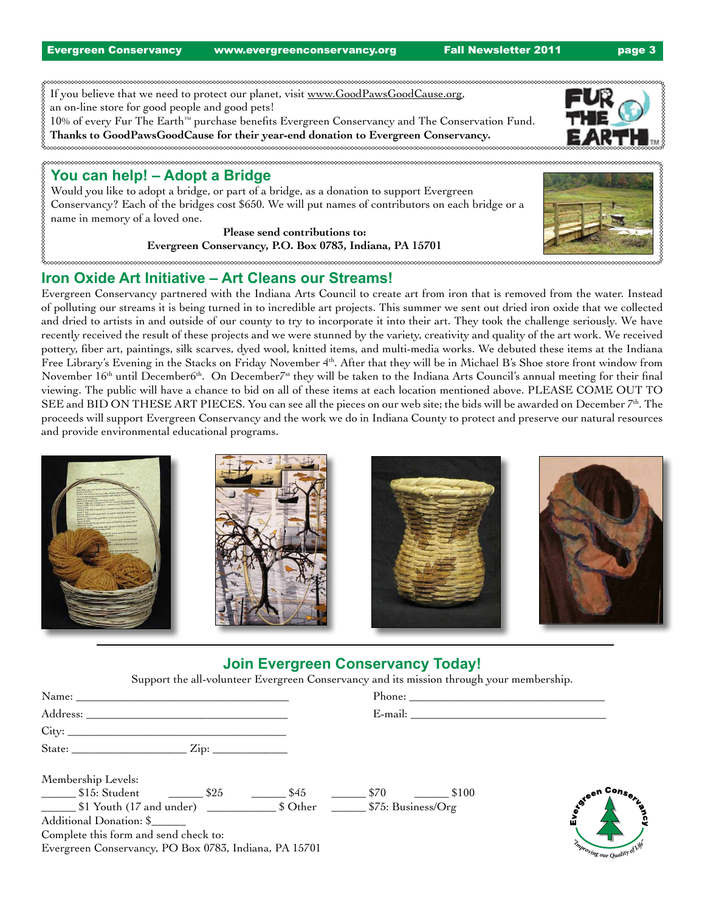Evergreen Conservancy www.evergreenconservancy.org Fall Newsletter 2011 page 3

If you believe that we need to protect our planet, visit www.GoodPawsGoodCause.org, an on-line store for good people and good pets! 10% of every Fur The Earth™ purchase benefits Evergreen Conservancy and The Conservation Fund.

**Thanks to GoodPawsGoodCause for their year-end donation to Evergreen Conservancy.**

# **You can help! – Adopt a Bridge**

Would you like to adopt a bridge, or part of a bridge, as a donation to support Evergreen Conservancy? Each of the bridges cost \$650. We will put names of contributors on each bridge or a name in memory of a loved one.

> **Please send contributions to: Evergreen Conservancy, P.O. Box 0783, Indiana, PA 15701**

# **Iron Oxide Art Initiative – Art Cleans our Streams!**

Evergreen Conservancy partnered with the Indiana Arts Council to create art from iron that is removed from the water. Instead of polluting our streams it is being turned in to incredible art projects. This summer we sent out dried iron oxide that we collected and dried to artists in and outside of our county to try to incorporate it into their art. They took the challenge seriously. We have recently received the result of these projects and we were stunned by the variety, creativity and quality of the art work. We received pottery, fiber art, paintings, silk scarves, dyed wool, knitted items, and multi-media works. We debuted these items at the Indiana Free Library's Evening in the Stacks on Friday November 4th. After that they will be in Michael B's Shoe store front window from November  $16<sup>th</sup>$  until December6<sup>th</sup>. On December<sup>7st</sup> they will be taken to the Indiana Arts Council's annual meeting for their final viewing. The public will have a chance to bid on all of these items at each location mentioned above. PLEASE COME OUT TO SEE and BID ON THESE ART PIECES. You can see all the pieces on our web site; the bids will be awarded on December 7<sup>th</sup>. The proceeds will support Evergreen Conservancy and the work we do in Indiana County to protect and preserve our natural resources and provide environmental educational programs.

| <b>Search of Davis with Lines Cardia</b><br>The City contract survey that are start every line<br>Found 21, Yelly, Ken 2) responsibility " to product more (all simpless heads) is made $2^{\circ}$ for $2^{\circ}$<br>East 4 '95, Gold look for '9 and of put it with the first<br>$\frac{1}{\left\{ \frac{1}{1 + \left( \frac{1}{1 + \left( \frac{1}{1 + \left( \frac{1}{1 + \left( \frac{1}{1 + \left( \frac{1}{1 + \left( \frac{1}{1 + \left( \frac{1}{1 + \left( \frac{1}{1 + \left( \frac{1}{1 + \left( \frac{1}{1 + \left( \frac{1}{1 + \left( \frac{1}{1 + \left( \frac{1}{1 + \left( \frac{1}{1 + \left( \frac{1}{1 + \left( \frac{1}{1 + \left( \frac{1}{1 + \left( \frac{1}{1 + \left( \frac{1}{1 + \left( \frac{1}{1 + \left( \$<br><b>Property and in company has a financial constitution and the company of the company of the company of the company</b><br>and hunting and al stand (12 station has).<br><b>INTEREST PARTNERS</b><br>and a shidewive such angituded<br>the competitive here. |  |  |
|---------------------------------------------------------------------------------------------------------------------------------------------------------------------------------------------------------------------------------------------------------------------------------------------------------------------------------------------------------------------------------------------------------------------------------------------------------------------------------------------------------------------------------------------------------------------------------------------------------------------------------------------------------------------------------------------------------------------------------------------------------------------------------------------------------------------------------------------------------------------------------------------------------------------------------------------------------------------------------------------------------------|--|--|
|---------------------------------------------------------------------------------------------------------------------------------------------------------------------------------------------------------------------------------------------------------------------------------------------------------------------------------------------------------------------------------------------------------------------------------------------------------------------------------------------------------------------------------------------------------------------------------------------------------------------------------------------------------------------------------------------------------------------------------------------------------------------------------------------------------------------------------------------------------------------------------------------------------------------------------------------------------------------------------------------------------------|--|--|

# **Join Evergreen Conservancy Today!**

Support the all-volunteer Evergreen Conservancy and its mission through your membership.

| Address: The Communication of the Communication of the Communication of the Communication of the Communication of the Communication of the Communication of the Communication of the Communication of the Communication of the | E-mail: The contract of the contract of the contract of the contract of the contract of the contract of the contract of the contract of the contract of the contract of the contract of the contract of the contract of the co |
|--------------------------------------------------------------------------------------------------------------------------------------------------------------------------------------------------------------------------------|--------------------------------------------------------------------------------------------------------------------------------------------------------------------------------------------------------------------------------|
|                                                                                                                                                                                                                                |                                                                                                                                                                                                                                |
|                                                                                                                                                                                                                                |                                                                                                                                                                                                                                |
| Membership Levels:                                                                                                                                                                                                             |                                                                                                                                                                                                                                |
| \$45                                                                                                                                                                                                                           | toteen Con-<br>\$70<br>\$100                                                                                                                                                                                                   |
| \$1 Youth (17 and under) \$1 Youth (17 and under) \$25. Susiness/Org                                                                                                                                                           |                                                                                                                                                                                                                                |
| Additional Donation: \$                                                                                                                                                                                                        |                                                                                                                                                                                                                                |
| Complete this form and send check to:                                                                                                                                                                                          |                                                                                                                                                                                                                                |
| Evergreen Conservancy, PO Box 0783, Indiana, PA 15701                                                                                                                                                                          | Timproving our Quality<br>of Life                                                                                                                                                                                              |